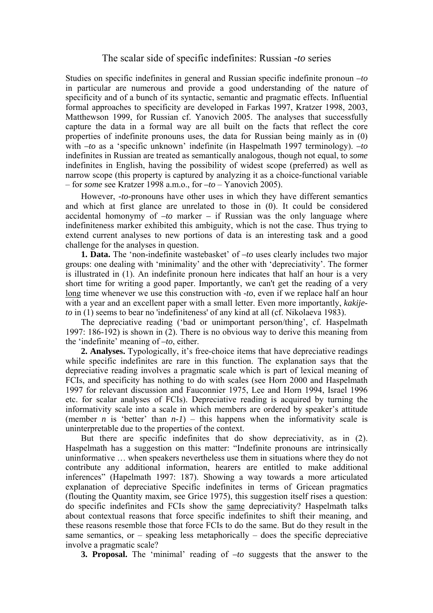## The scalar side of specific indefinites: Russian *-to* series

Studies on specific indefinites in general and Russian specific indefinite pronoun *–to* in particular are numerous and provide a good understanding of the nature of specificity and of a bunch of its syntactic, semantic and pragmatic effects. Influential formal approaches to specificity are developed in Farkas 1997, Kratzer 1998, 2003, Matthewson 1999, for Russian cf. Yanovich 2005. The analyses that successfully capture the data in a formal way are all built on the facts that reflect the core properties of indefinite pronouns uses, the data for Russian being mainly as in (0) with *–to* as a 'specific unknown' indefinite (in Haspelmath 1997 terminology). *–to* indefinites in Russian are treated as semantically analogous, though not equal, to *some* indefinites in English, having the possibility of widest scope (preferred) as well as narrow scope (this property is captured by analyzing it as a choice-functional variable – for *some* see Kratzer 1998 a.m.o., for *–to* – Yanovich 2005).

However, *-to*-pronouns have other uses in which they have different semantics and which at first glance are unrelated to those in (0). It could be considered accidental homonymy of *–to* marker *–* if Russian was the only language where indefiniteness marker exhibited this ambiguity, which is not the case. Thus trying to extend current analyses to new portions of data is an interesting task and a good challenge for the analyses in question.

**1. Data.** The 'non-indefinite wastebasket' of *–to* uses clearly includes two major groups: one dealing with 'minimality' and the other with 'depreciativity'. The former is illustrated in (1). An indefinite pronoun here indicates that half an hour is a very short time for writing a good paper. Importantly, we can't get the reading of a very long time whenever we use this construction with -*to*, even if we replace half an hour with a year and an excellent paper with a small letter. Even more importantly, *kakijeto* in (1) seems to bear no 'indefiniteness' of any kind at all (cf. Nikolaeva 1983).

The depreciative reading ('bad or unimportant person/thing', cf. Haspelmath 1997: 186-192) is shown in (2). There is no obvious way to derive this meaning from the 'indefinite' meaning of *–to*, either.

**2. Analyses.** Typologically, it's free-choice items that have depreciative readings while specific indefinites are rare in this function. The explanation says that the depreciative reading involves a pragmatic scale which is part of lexical meaning of FCIs, and specificity has nothing to do with scales (see Horn 2000 and Haspelmath 1997 for relevant discussion and Fauconnier 1975, Lee and Horn 1994, Israel 1996 etc. for scalar analyses of FCIs). Depreciative reading is acquired by turning the informativity scale into a scale in which members are ordered by speaker's attitude (member *n* is 'better' than  $n-1$ ) – this happens when the informativity scale is uninterpretable due to the properties of the context.

But there are specific indefinites that do show depreciativity, as in (2). Haspelmath has a suggestion on this matter: "Indefinite pronouns are intrinsically uninformative … when speakers nevertheless use them in situations where they do not contribute any additional information, hearers are entitled to make additional inferences" (Hapelmath 1997: 187). Showing a way towards a more articulated explanation of depreciative Specific indefinites in terms of Gricean pragmatics (flouting the Quantity maxim, see Grice 1975), this suggestion itself rises a question: do specific indefinites and FCIs show the same depreciativity? Haspelmath talks about contextual reasons that force specific indefinites to shift their meaning, and these reasons resemble those that force FCIs to do the same. But do they result in the same semantics, or  $-$  speaking less metaphorically  $-$  does the specific depreciative involve a pragmatic scale?

**3. Proposal.** The 'minimal' reading of *–to* suggests that the answer to the